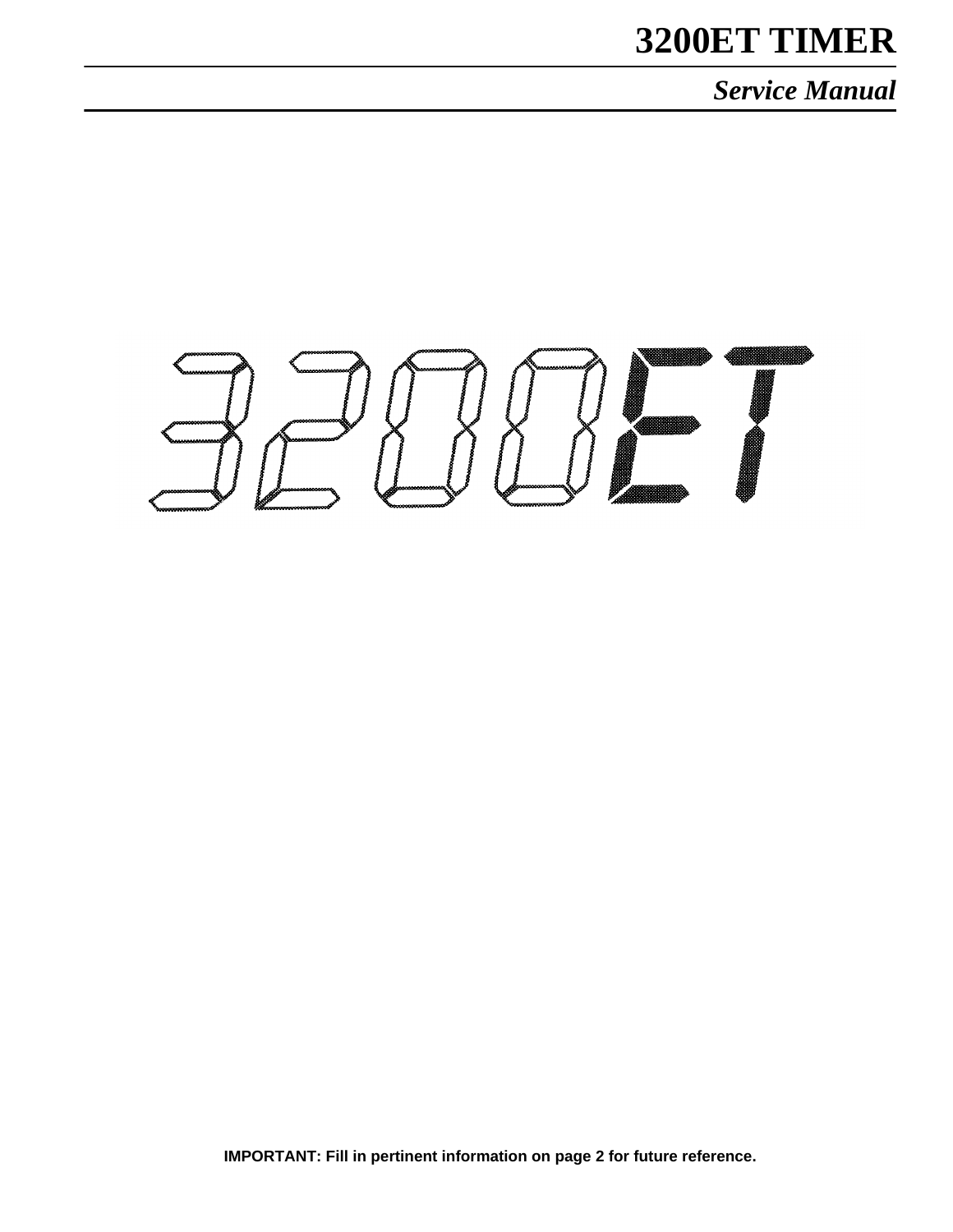# **3200ET TIMER**

*Service Manual*



**IMPORTANT: Fill in pertinent information on page 2 for future reference.**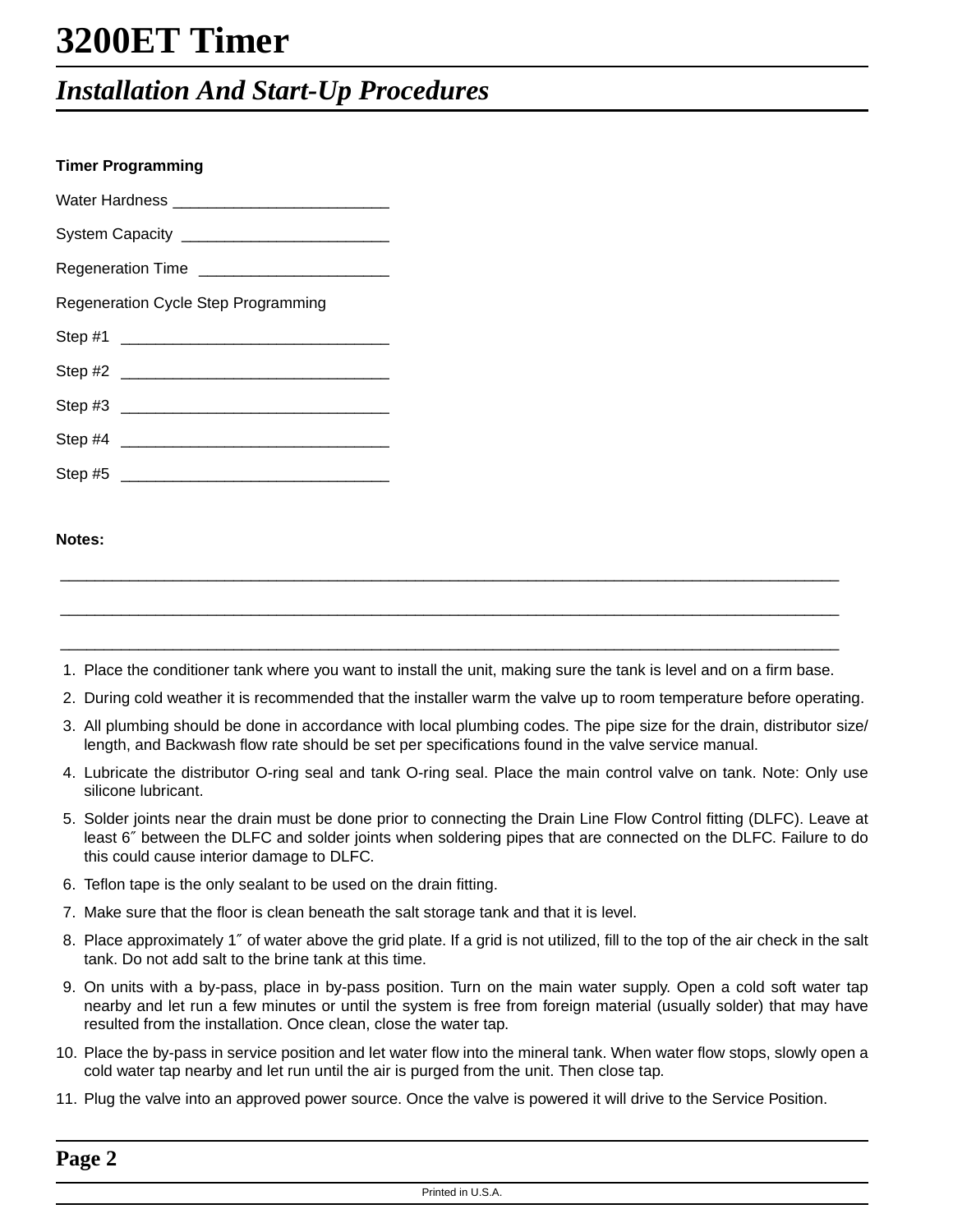**Timer Programming**

## *Installation And Start-Up Procedures*

| Timer Programming                   |  |  |  |  |  |
|-------------------------------------|--|--|--|--|--|
|                                     |  |  |  |  |  |
|                                     |  |  |  |  |  |
|                                     |  |  |  |  |  |
| Regeneration Cycle Step Programming |  |  |  |  |  |
|                                     |  |  |  |  |  |
|                                     |  |  |  |  |  |
|                                     |  |  |  |  |  |
|                                     |  |  |  |  |  |
| Step #5                             |  |  |  |  |  |

### **Notes:**

\_\_\_\_\_\_\_\_\_\_\_\_\_\_\_\_\_\_\_\_\_\_\_\_\_\_\_\_\_\_\_\_\_\_\_\_\_\_\_\_\_\_\_\_\_\_\_\_\_\_\_\_\_\_\_\_\_\_\_\_\_\_\_\_\_\_\_\_\_\_\_\_\_\_\_\_\_\_\_\_\_\_\_\_\_\_\_\_\_\_ 1. Place the conditioner tank where you want to install the unit, making sure the tank is level and on a firm base.

 $\_$  , and the set of the set of the set of the set of the set of the set of the set of the set of the set of the set of the set of the set of the set of the set of the set of the set of the set of the set of the set of th

\_\_\_\_\_\_\_\_\_\_\_\_\_\_\_\_\_\_\_\_\_\_\_\_\_\_\_\_\_\_\_\_\_\_\_\_\_\_\_\_\_\_\_\_\_\_\_\_\_\_\_\_\_\_\_\_\_\_\_\_\_\_\_\_\_\_\_\_\_\_\_\_\_\_\_\_\_\_\_\_\_\_\_\_\_\_\_\_\_\_

- 2. During cold weather it is recommended that the installer warm the valve up to room temperature before operating.
- 3. All plumbing should be done in accordance with local plumbing codes. The pipe size for the drain, distributor size/ length, and Backwash flow rate should be set per specifications found in the valve service manual.
- 4. Lubricate the distributor O-ring seal and tank O-ring seal. Place the main control valve on tank. Note: Only use silicone lubricant.
- 5. Solder joints near the drain must be done prior to connecting the Drain Line Flow Control fitting (DLFC). Leave at least 6″ between the DLFC and solder joints when soldering pipes that are connected on the DLFC. Failure to do this could cause interior damage to DLFC.
- 6. Teflon tape is the only sealant to be used on the drain fitting.
- 7. Make sure that the floor is clean beneath the salt storage tank and that it is level.
- 8. Place approximately 1″ of water above the grid plate. If a grid is not utilized, fill to the top of the air check in the salt tank. Do not add salt to the brine tank at this time.
- 9. On units with a by-pass, place in by-pass position. Turn on the main water supply. Open a cold soft water tap nearby and let run a few minutes or until the system is free from foreign material (usually solder) that may have resulted from the installation. Once clean, close the water tap.
- 10. Place the by-pass in service position and let water flow into the mineral tank. When water flow stops, slowly open a cold water tap nearby and let run until the air is purged from the unit. Then close tap.
- 11. Plug the valve into an approved power source. Once the valve is powered it will drive to the Service Position.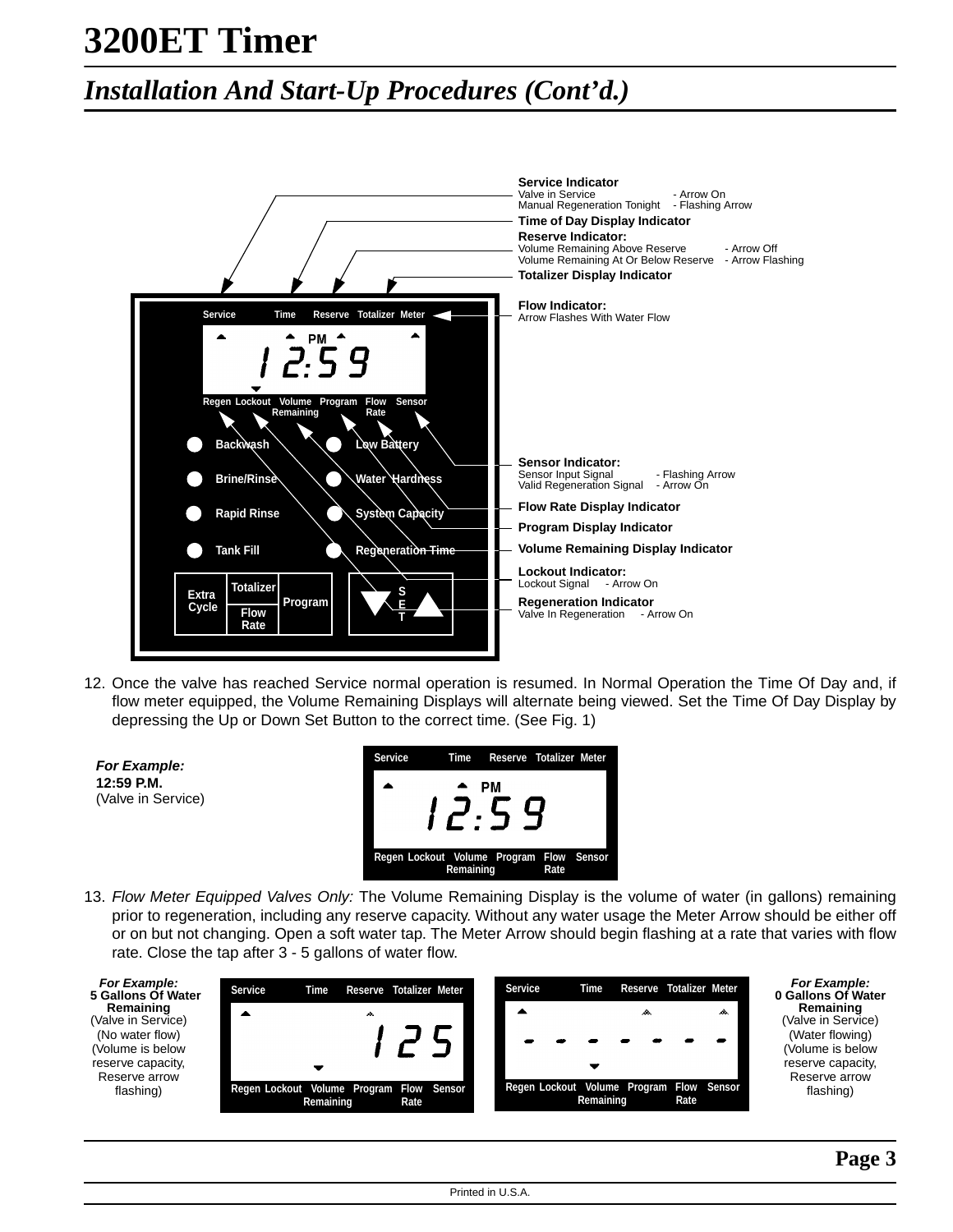## *Installation And Start-Up Procedures (Cont'd.)*



12. Once the valve has reached Service normal operation is resumed. In Normal Operation the Time Of Day and, if flow meter equipped, the Volume Remaining Displays will alternate being viewed. Set the Time Of Day Display by depressing the Up or Down Set Button to the correct time. (See Fig. 1)



13. Flow Meter Equipped Valves Only: The Volume Remaining Display is the volume of water (in gallons) remaining prior to regeneration, including any reserve capacity. Without any water usage the Meter Arrow should be either off or on but not changing. Open a soft water tap. The Meter Arrow should begin flashing at a rate that varies with flow rate. Close the tap after 3 - 5 gallons of water flow.

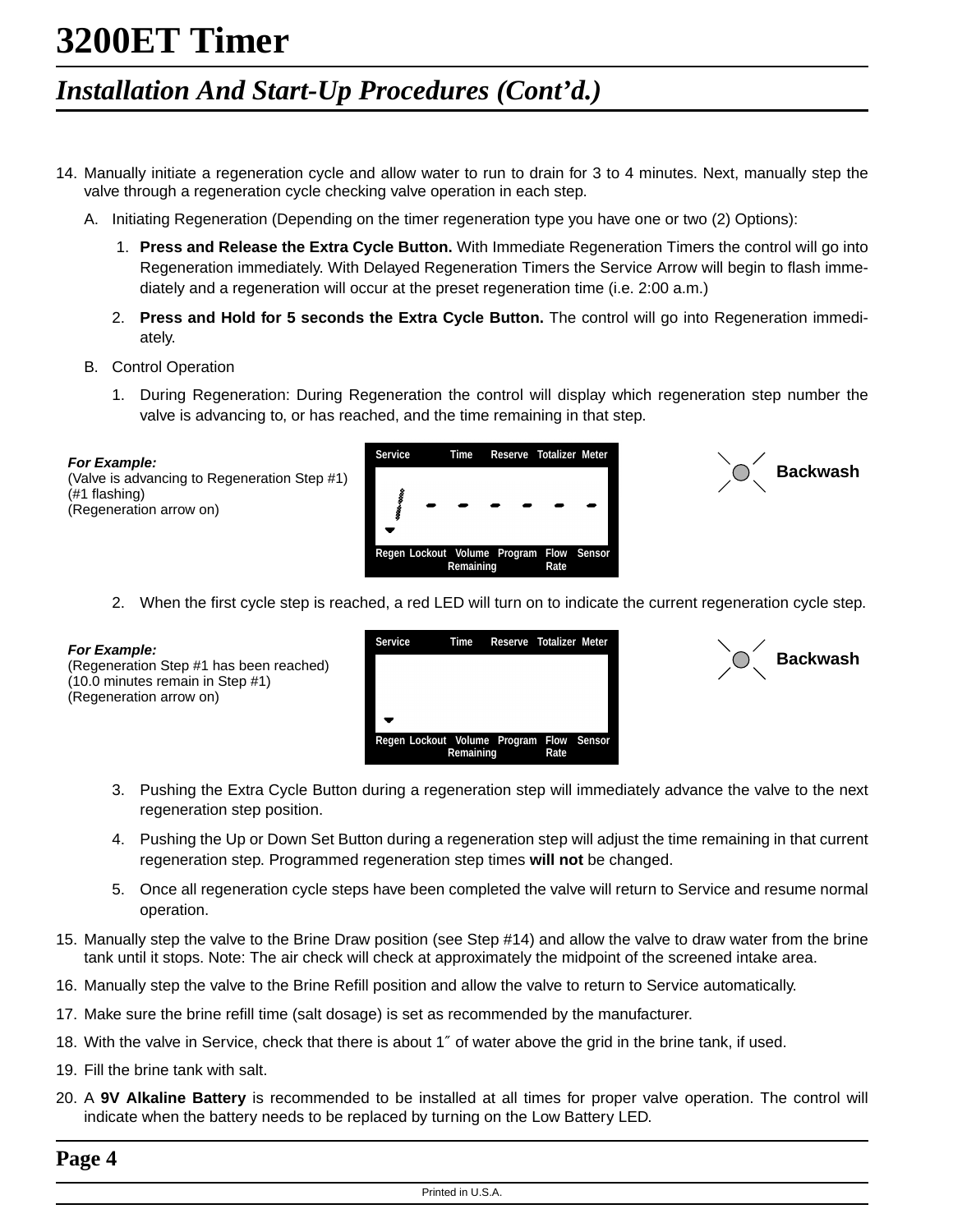## *Installation And Start-Up Procedures (Cont'd.)*

- 14. Manually initiate a regeneration cycle and allow water to run to drain for 3 to 4 minutes. Next, manually step the valve through a regeneration cycle checking valve operation in each step.
	- A. Initiating Regeneration (Depending on the timer regeneration type you have one or two (2) Options):
		- 1. **Press and Release the Extra Cycle Button.** With Immediate Regeneration Timers the control will go into Regeneration immediately. With Delayed Regeneration Timers the Service Arrow will begin to flash immediately and a regeneration will occur at the preset regeneration time (i.e. 2:00 a.m.)
		- 2. **Press and Hold for 5 seconds the Extra Cycle Button.** The control will go into Regeneration immediately.
	- B. Control Operation
		- 1. During Regeneration: During Regeneration the control will display which regeneration step number the valve is advancing to, or has reached, and the time remaining in that step.

**For Example:** (Valve is advancing to Regeneration Step #1) (#1 flashing) (Regeneration arrow on)





2. When the first cycle step is reached, a red LED will turn on to indicate the current regeneration cycle step.

#### **For Example:**

(Regeneration Step #1 has been reached) (10.0 minutes remain in Step #1) (Regeneration arrow on)





- 3. Pushing the Extra Cycle Button during a regeneration step will immediately advance the valve to the next regeneration step position.
- 4. Pushing the Up or Down Set Button during a regeneration step will adjust the time remaining in that current regeneration step. Programmed regeneration step times **will not** be changed.
- 5. Once all regeneration cycle steps have been completed the valve will return to Service and resume normal operation.
- 15. Manually step the valve to the Brine Draw position (see Step #14) and allow the valve to draw water from the brine tank until it stops. Note: The air check will check at approximately the midpoint of the screened intake area.
- 16. Manually step the valve to the Brine Refill position and allow the valve to return to Service automatically.
- 17. Make sure the brine refill time (salt dosage) is set as recommended by the manufacturer.
- 18. With the valve in Service, check that there is about 1″ of water above the grid in the brine tank, if used.
- 19. Fill the brine tank with salt.
- 20. A **9V Alkaline Battery** is recommended to be installed at all times for proper valve operation. The control will indicate when the battery needs to be replaced by turning on the Low Battery LED.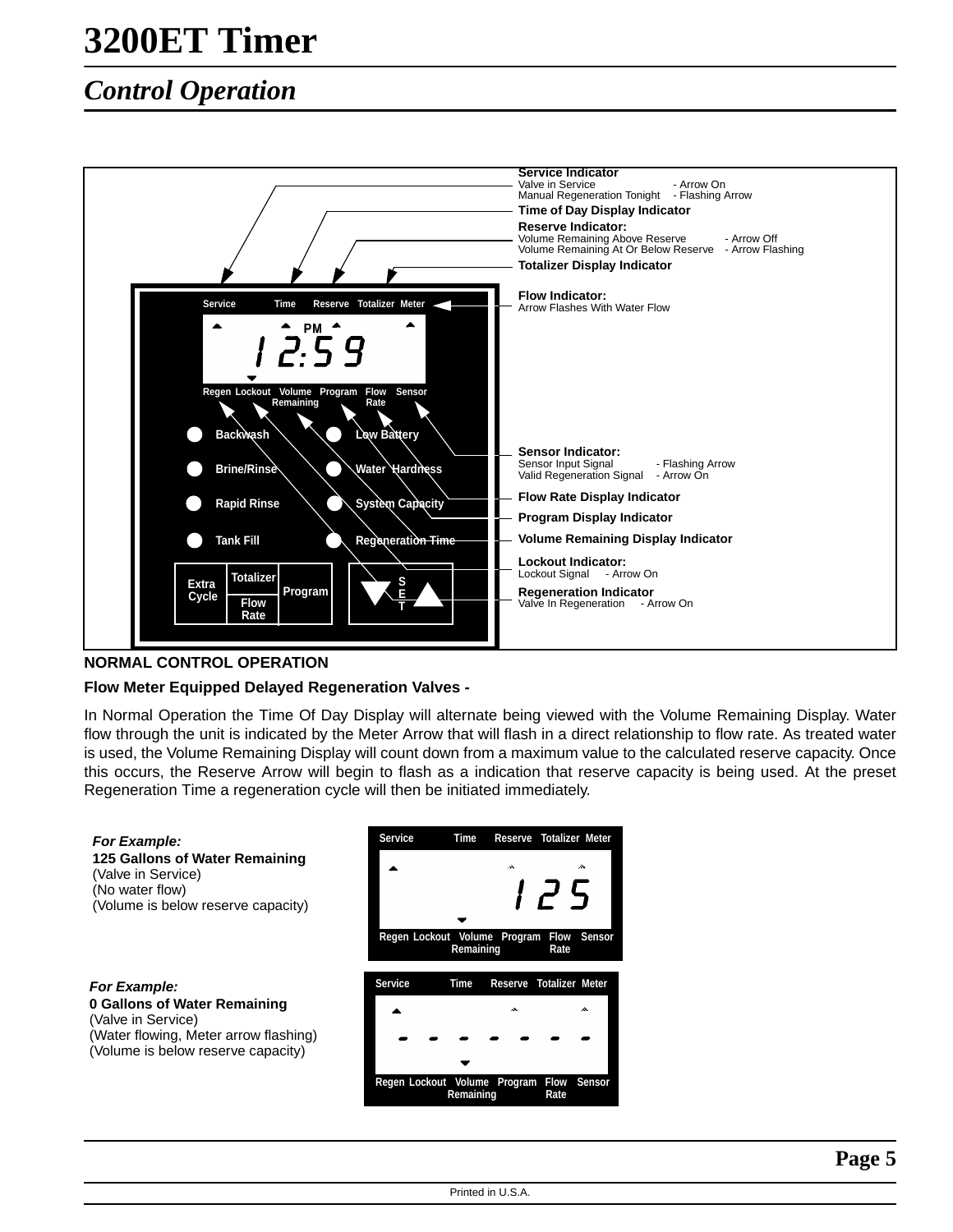## *Control Operation*



### **NORMAL CONTROL OPERATION**

#### **Flow Meter Equipped Delayed Regeneration Valves -**

In Normal Operation the Time Of Day Display will alternate being viewed with the Volume Remaining Display. Water flow through the unit is indicated by the Meter Arrow that will flash in a direct relationship to flow rate. As treated water is used, the Volume Remaining Display will count down from a maximum value to the calculated reserve capacity. Once this occurs, the Reserve Arrow will begin to flash as a indication that reserve capacity is being used. At the preset Regeneration Time a regeneration cycle will then be initiated immediately.

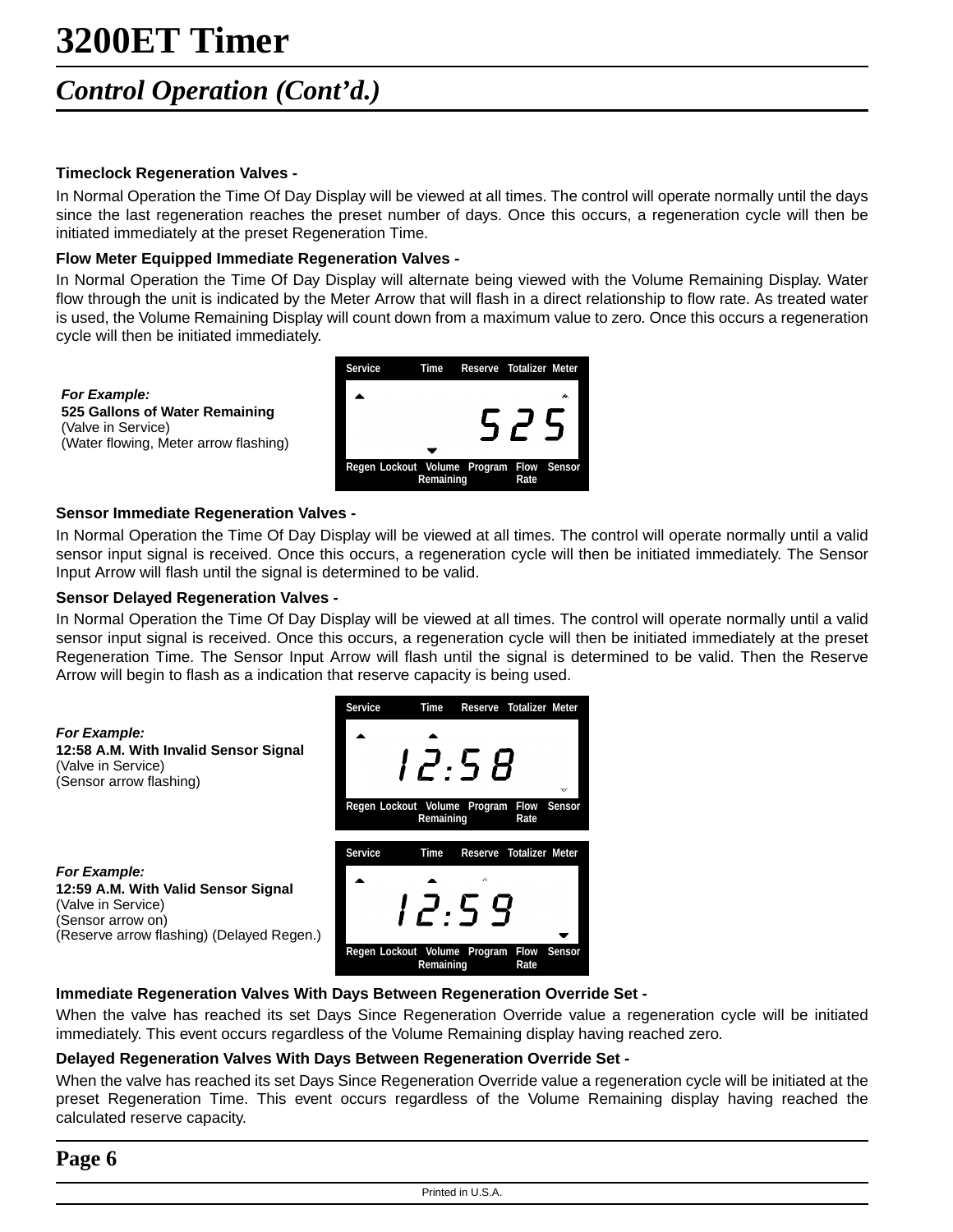## *Control Operation (Cont'd.)*

### **Timeclock Regeneration Valves -**

**For Example:**

(Valve in Service)

In Normal Operation the Time Of Day Display will be viewed at all times. The control will operate normally until the days since the last regeneration reaches the preset number of days. Once this occurs, a regeneration cycle will then be initiated immediately at the preset Regeneration Time.

### **Flow Meter Equipped Immediate Regeneration Valves -**

In Normal Operation the Time Of Day Display will alternate being viewed with the Volume Remaining Display. Water flow through the unit is indicated by the Meter Arrow that will flash in a direct relationship to flow rate. As treated water is used, the Volume Remaining Display will count down from a maximum value to zero. Once this occurs a regeneration cycle will then be initiated immediately.



#### **Sensor Immediate Regeneration Valves -**

**525 Gallons of Water Remaining**

(Water flowing, Meter arrow flashing)

In Normal Operation the Time Of Day Display will be viewed at all times. The control will operate normally until a valid sensor input signal is received. Once this occurs, a regeneration cycle will then be initiated immediately. The Sensor Input Arrow will flash until the signal is determined to be valid.

#### **Sensor Delayed Regeneration Valves -**

In Normal Operation the Time Of Day Display will be viewed at all times. The control will operate normally until a valid sensor input signal is received. Once this occurs, a regeneration cycle will then be initiated immediately at the preset Regeneration Time. The Sensor Input Arrow will flash until the signal is determined to be valid. Then the Reserve Arrow will begin to flash as a indication that reserve capacity is being used.



### **Immediate Regeneration Valves With Days Between Regeneration Override Set -**

When the valve has reached its set Days Since Regeneration Override value a regeneration cycle will be initiated immediately. This event occurs regardless of the Volume Remaining display having reached zero.

### **Delayed Regeneration Valves With Days Between Regeneration Override Set -**

When the valve has reached its set Days Since Regeneration Override value a regeneration cycle will be initiated at the preset Regeneration Time. This event occurs regardless of the Volume Remaining display having reached the calculated reserve capacity.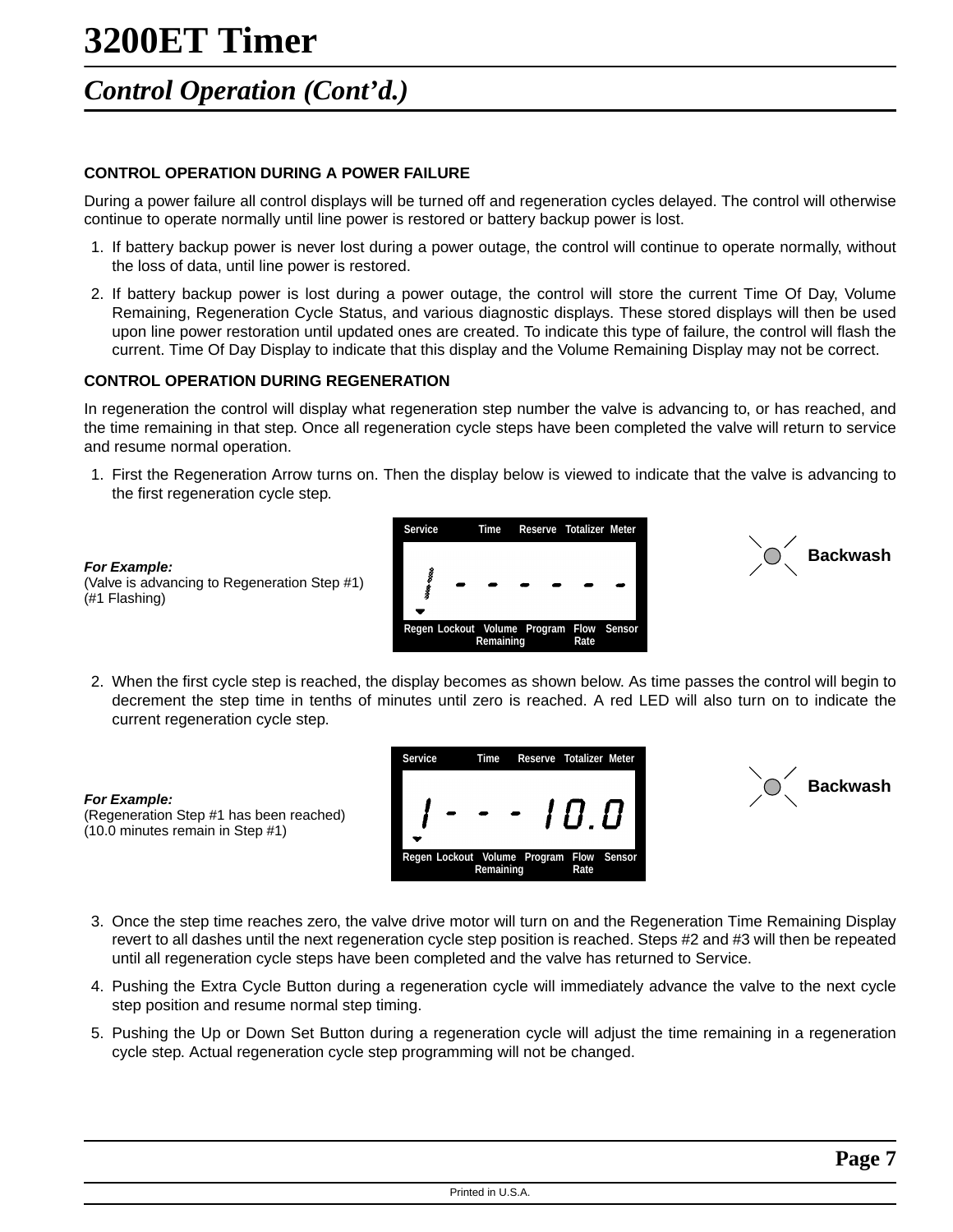## *Control Operation (Cont'd.)*

### **CONTROL OPERATION DURING A POWER FAILURE**

During a power failure all control displays will be turned off and regeneration cycles delayed. The control will otherwise continue to operate normally until line power is restored or battery backup power is lost.

- 1. If battery backup power is never lost during a power outage, the control will continue to operate normally, without the loss of data, until line power is restored.
- 2. If battery backup power is lost during a power outage, the control will store the current Time Of Day, Volume Remaining, Regeneration Cycle Status, and various diagnostic displays. These stored displays will then be used upon line power restoration until updated ones are created. To indicate this type of failure, the control will flash the current. Time Of Day Display to indicate that this display and the Volume Remaining Display may not be correct.

### **CONTROL OPERATION DURING REGENERATION**

(Valve is advancing to Regeneration Step #1)

(Regeneration Step #1 has been reached)

(10.0 minutes remain in Step #1)

**For Example:**

(#1 Flashing)

**For Example:**

In regeneration the control will display what regeneration step number the valve is advancing to, or has reached, and the time remaining in that step. Once all regeneration cycle steps have been completed the valve will return to service and resume normal operation.

1. First the Regeneration Arrow turns on. Then the display below is viewed to indicate that the valve is advancing to the first regeneration cycle step.





2. When the first cycle step is reached, the display becomes as shown below. As time passes the control will begin to decrement the step time in tenths of minutes until zero is reached. A red LED will also turn on to indicate the current regeneration cycle step.



![](_page_6_Picture_13.jpeg)

- 3. Once the step time reaches zero, the valve drive motor will turn on and the Regeneration Time Remaining Display revert to all dashes until the next regeneration cycle step position is reached. Steps #2 and #3 will then be repeated until all regeneration cycle steps have been completed and the valve has returned to Service.
- 4. Pushing the Extra Cycle Button during a regeneration cycle will immediately advance the valve to the next cycle step position and resume normal step timing.
- 5. Pushing the Up or Down Set Button during a regeneration cycle will adjust the time remaining in a regeneration cycle step. Actual regeneration cycle step programming will not be changed.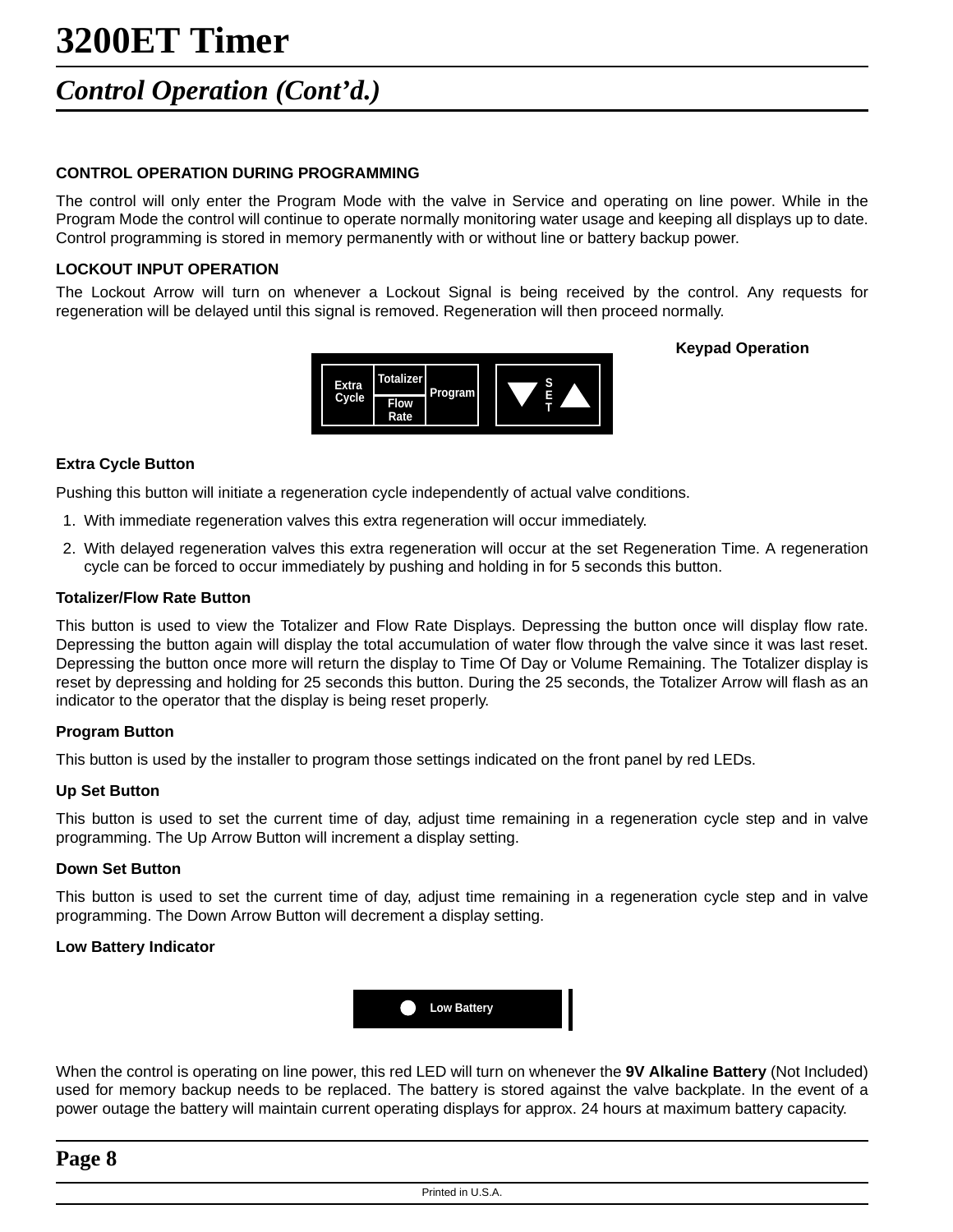### *Control Operation (Cont'd.)*

#### **CONTROL OPERATION DURING PROGRAMMING**

The control will only enter the Program Mode with the valve in Service and operating on line power. While in the Program Mode the control will continue to operate normally monitoring water usage and keeping all displays up to date. Control programming is stored in memory permanently with or without line or battery backup power.

#### **LOCKOUT INPUT OPERATION**

The Lockout Arrow will turn on whenever a Lockout Signal is being received by the control. Any requests for regeneration will be delayed until this signal is removed. Regeneration will then proceed normally.

**Keypad Operation**

![](_page_7_Picture_6.jpeg)

#### **Extra Cycle Button**

Pushing this button will initiate a regeneration cycle independently of actual valve conditions.

- 1. With immediate regeneration valves this extra regeneration will occur immediately.
- 2. With delayed regeneration valves this extra regeneration will occur at the set Regeneration Time. A regeneration cycle can be forced to occur immediately by pushing and holding in for 5 seconds this button.

#### **Totalizer/Flow Rate Button**

This button is used to view the Totalizer and Flow Rate Displays. Depressing the button once will display flow rate. Depressing the button again will display the total accumulation of water flow through the valve since it was last reset. Depressing the button once more will return the display to Time Of Day or Volume Remaining. The Totalizer display is reset by depressing and holding for 25 seconds this button. During the 25 seconds, the Totalizer Arrow will flash as an indicator to the operator that the display is being reset properly.

#### **Program Button**

This button is used by the installer to program those settings indicated on the front panel by red LEDs.

#### **Up Set Button**

This button is used to set the current time of day, adjust time remaining in a regeneration cycle step and in valve programming. The Up Arrow Button will increment a display setting.

#### **Down Set Button**

This button is used to set the current time of day, adjust time remaining in a regeneration cycle step and in valve programming. The Down Arrow Button will decrement a display setting.

#### **Low Battery Indicator**

![](_page_7_Picture_20.jpeg)

When the control is operating on line power, this red LED will turn on whenever the **9V Alkaline Battery** (Not Included) used for memory backup needs to be replaced. The battery is stored against the valve backplate. In the event of a power outage the battery will maintain current operating displays for approx. 24 hours at maximum battery capacity.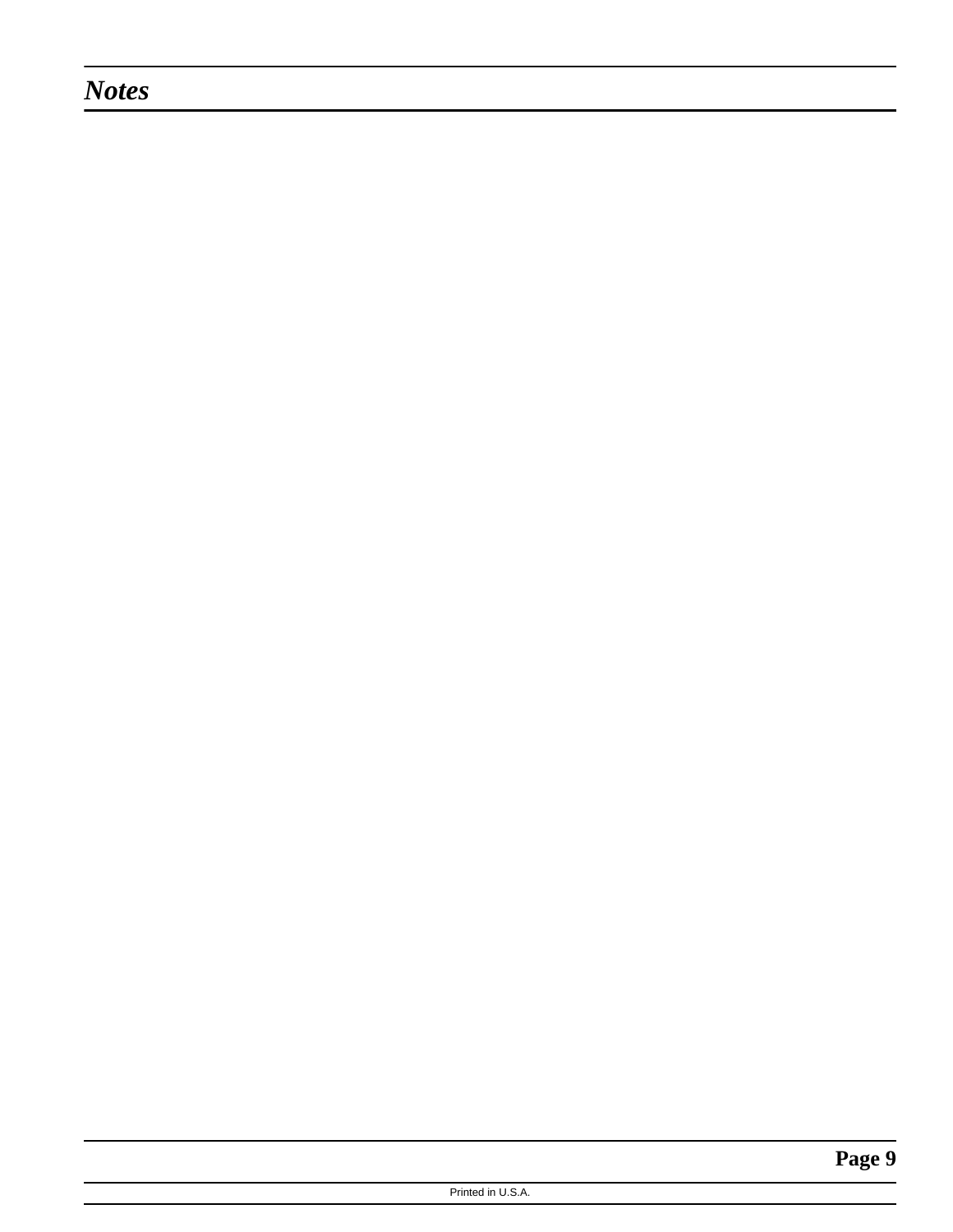### *Notes*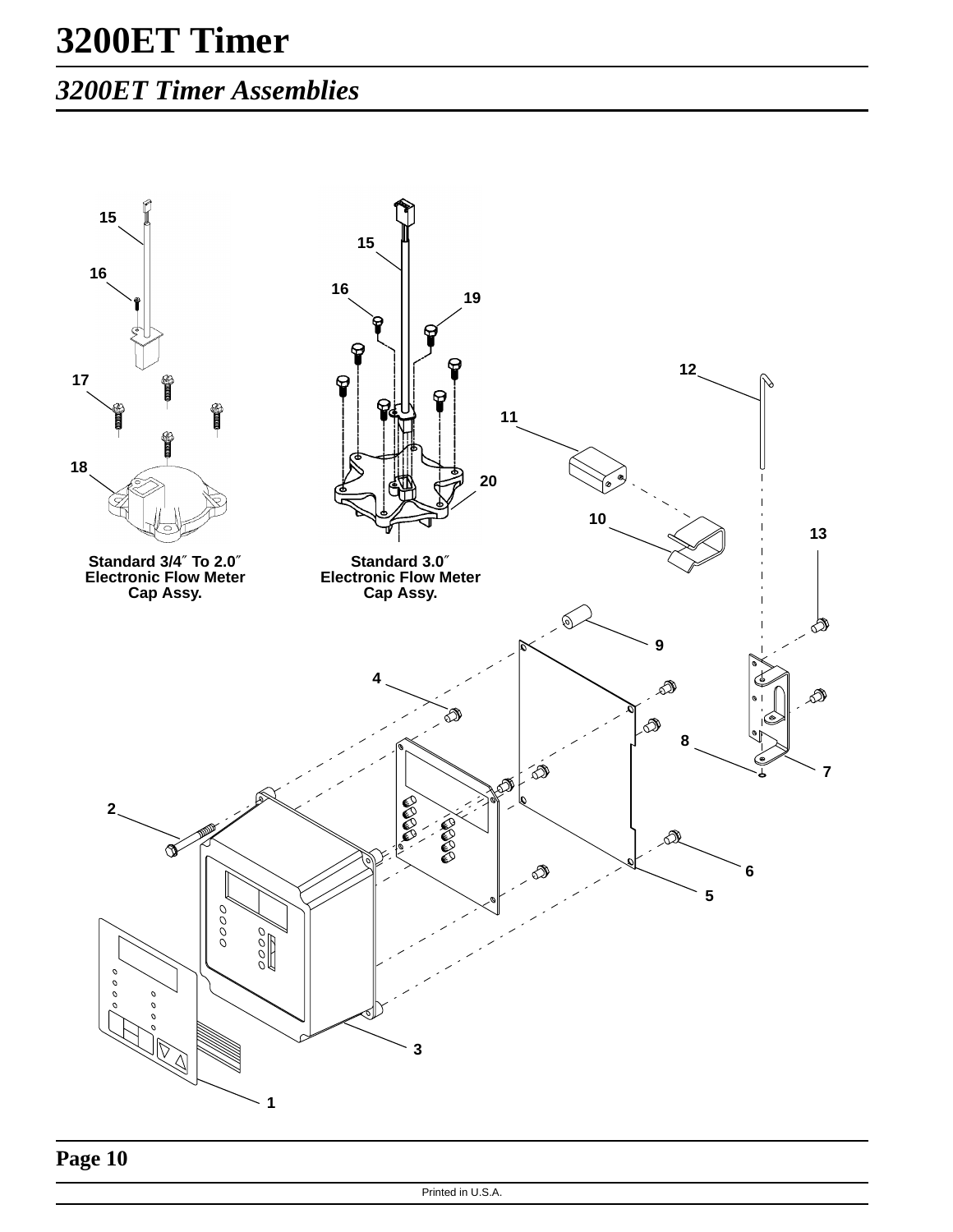## *3200ET Timer Assemblies*

![](_page_9_Figure_2.jpeg)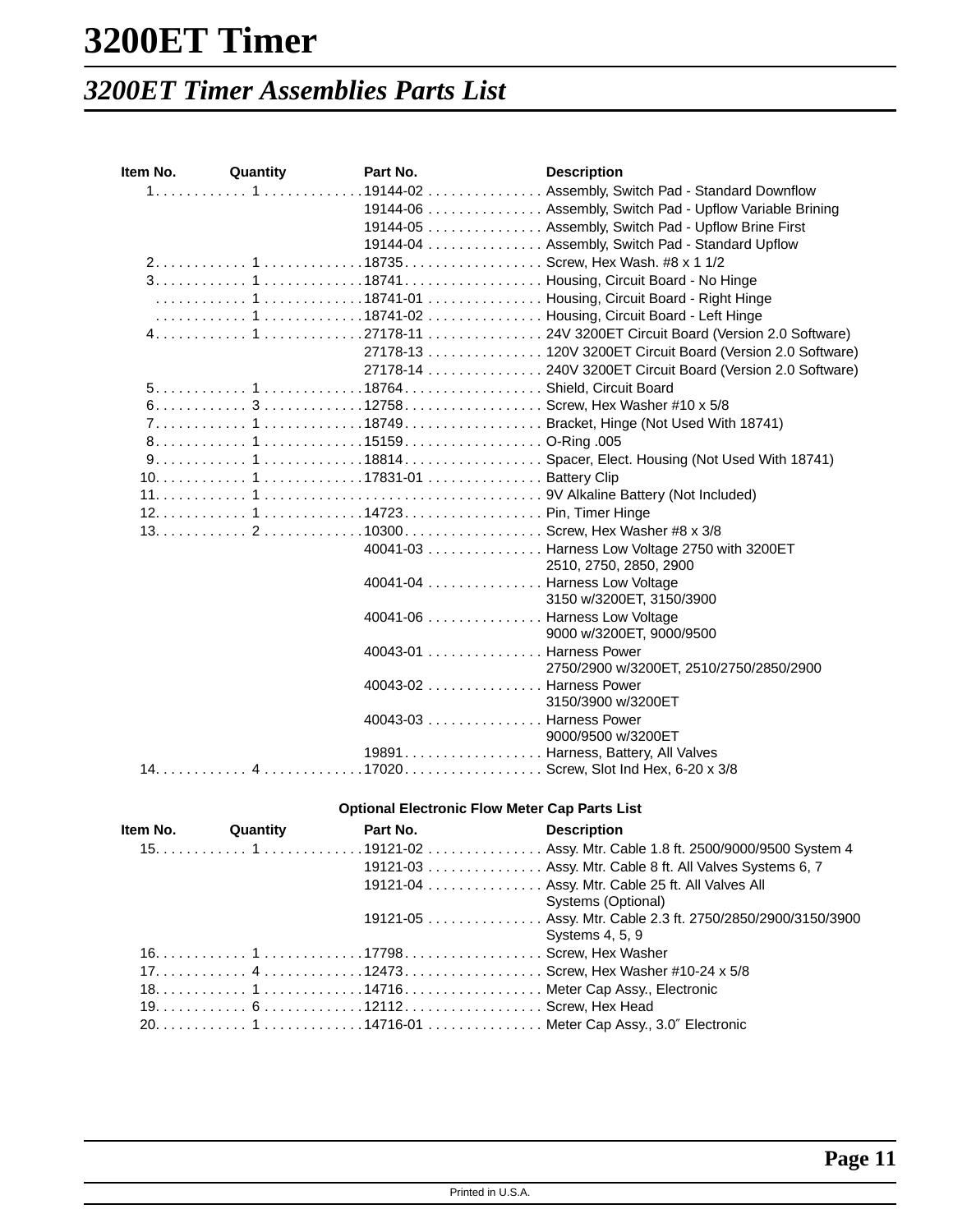## *3200ET Timer Assemblies Parts List*

| ltem No. | Quantity | Part No. | <b>Description</b>                                                |
|----------|----------|----------|-------------------------------------------------------------------|
|          |          |          | 1 119144-02 Assembly, Switch Pad - Standard Downflow              |
|          |          |          | 19144-06 Assembly, Switch Pad - Upflow Variable Brining           |
|          |          |          | 19144-05 Assembly, Switch Pad - Upflow Brine First                |
|          |          |          | 19144-04 Assembly, Switch Pad - Standard Upflow                   |
|          |          |          |                                                                   |
|          |          |          |                                                                   |
|          |          |          |                                                                   |
|          |          |          |                                                                   |
|          |          |          |                                                                   |
|          |          |          | 27178-13 120V 3200ET Circuit Board (Version 2.0 Software)         |
|          |          |          | 27178-14 240V 3200ET Circuit Board (Version 2.0 Software)         |
|          |          |          |                                                                   |
|          |          |          | 6.  3. 12758.  Screw, Hex Washer #10 x 5/8                        |
|          |          |          | 7 118749Bracket, Hinge (Not Used With 18741)                      |
|          |          |          |                                                                   |
|          |          |          |                                                                   |
|          |          |          |                                                                   |
|          |          |          |                                                                   |
|          |          |          |                                                                   |
|          |          |          |                                                                   |
|          |          |          | 40041-03 Harness Low Voltage 2750 with 3200ET                     |
|          |          |          | 2510, 2750, 2850, 2900                                            |
|          |          |          | 40041-04 Harness Low Voltage                                      |
|          |          |          | 3150 w/3200ET, 3150/3900                                          |
|          |          |          | 40041-06 Harness Low Voltage                                      |
|          |          |          | 9000 w/3200ET, 9000/9500                                          |
|          |          |          | 40043-01 Harness Power<br>2750/2900 w/3200ET, 2510/2750/2850/2900 |
|          |          |          | 40043-02 Harness Power                                            |
|          |          |          | 3150/3900 w/3200ET                                                |
|          |          |          | 40043-03 Harness Power                                            |
|          |          |          | 9000/9500 w/3200ET                                                |
|          |          |          | 19891. Harness, Battery, All Valves                               |
|          |          |          |                                                                   |
|          |          |          | <b>Optional Electronic Flow Meter Cap Parts List</b>              |
|          |          |          |                                                                   |

|  | <b>Item No.</b> Quantity | Part No. | <b>Description</b>                                         |
|--|--------------------------|----------|------------------------------------------------------------|
|  |                          |          |                                                            |
|  |                          |          | 19121-03 Assy. Mtr. Cable 8 ft. All Valves Systems 6, 7    |
|  |                          |          | 19121-04 Assy. Mtr. Cable 25 ft. All Valves All            |
|  |                          |          | Systems (Optional)                                         |
|  |                          |          | 19121-05 Assy. Mtr. Cable 2.3 ft. 2750/2850/2900/3150/3900 |
|  |                          |          | Systems 4, 5, 9                                            |
|  |                          |          |                                                            |
|  |                          |          |                                                            |
|  |                          |          |                                                            |
|  |                          |          |                                                            |
|  |                          |          |                                                            |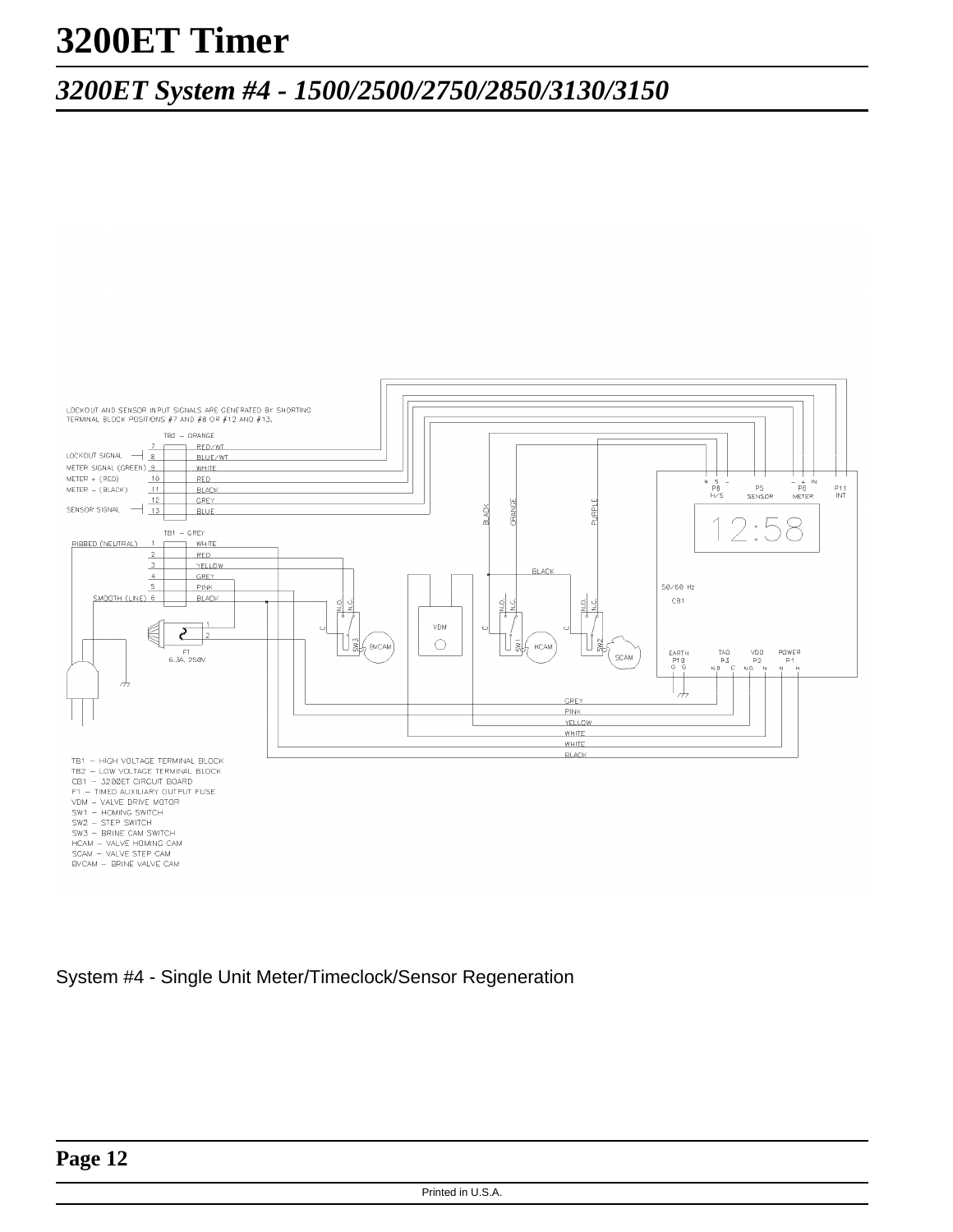## *3200ET System #4 - 1500/2500/2750/2850/3130/3150*

![](_page_11_Figure_2.jpeg)

System #4 - Single Unit Meter/Timeclock/Sensor Regeneration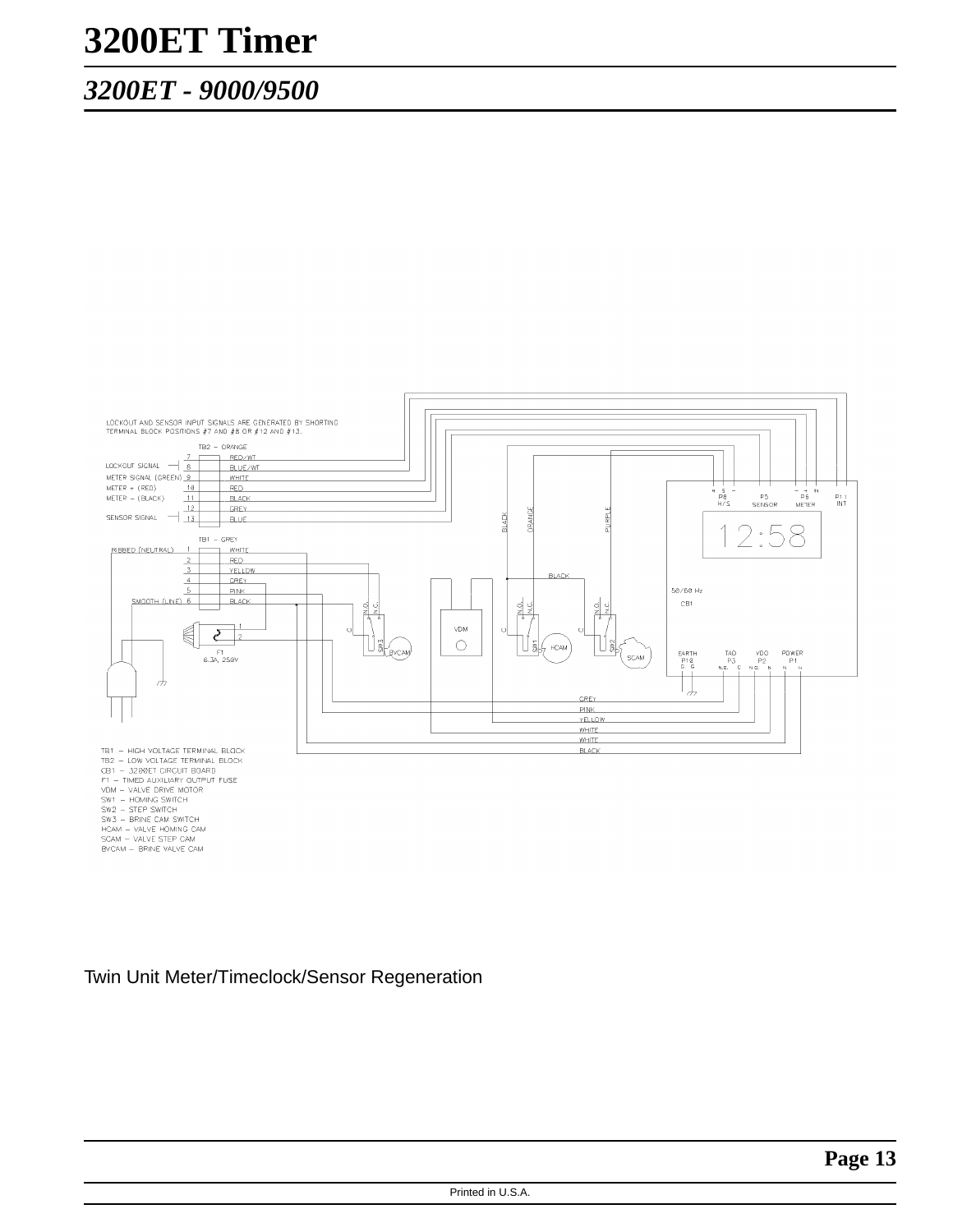### *3200ET - 9000/9500*

![](_page_12_Figure_2.jpeg)

- 
- 
- 

Twin Unit Meter/Timeclock/Sensor Regeneration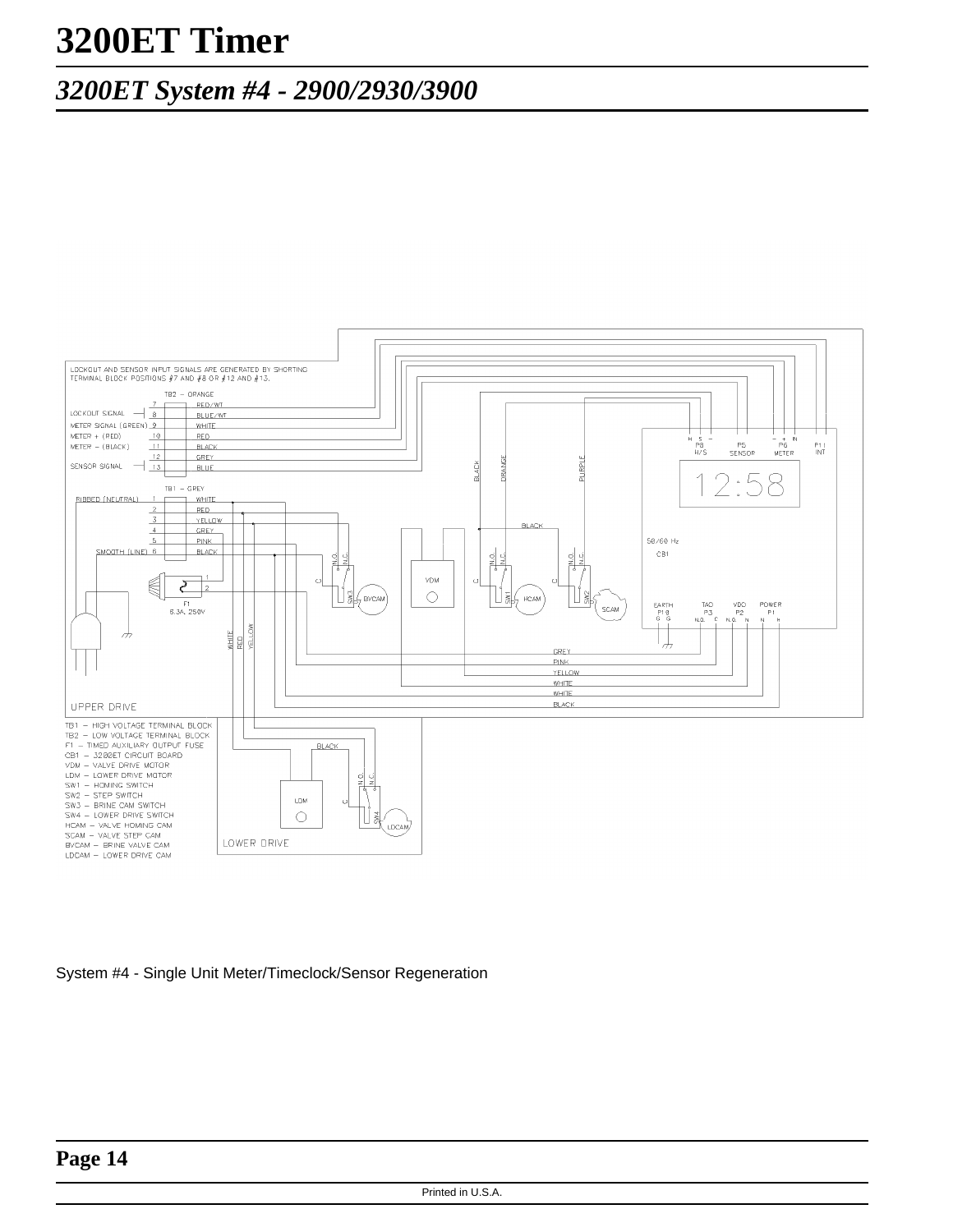## *3200ET System #4 - 2900/2930/3900*

![](_page_13_Figure_2.jpeg)

System #4 - Single Unit Meter/Timeclock/Sensor Regeneration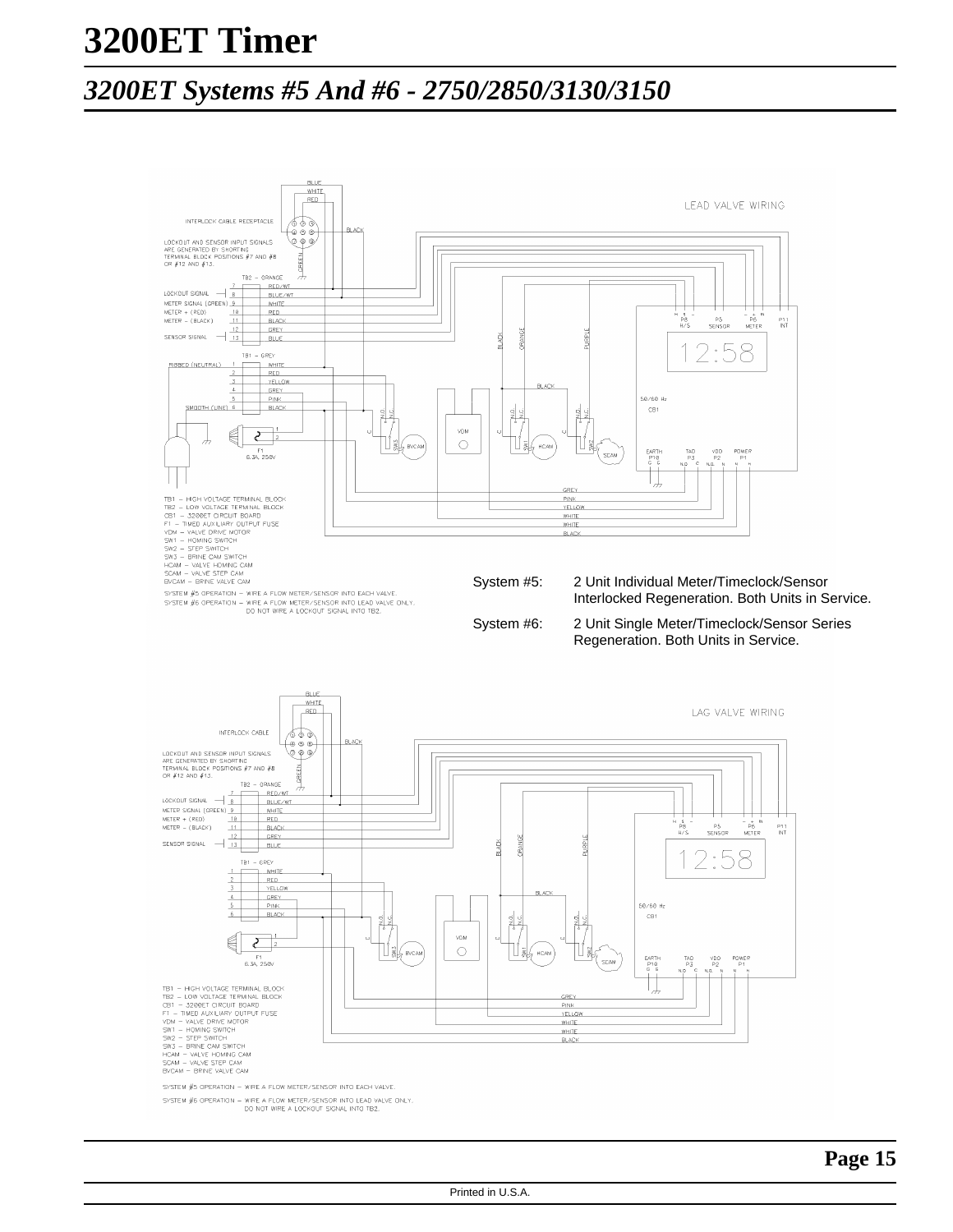### *3200ET Systems #5 And #6 - 2750/2850/3130/3150*

![](_page_14_Figure_2.jpeg)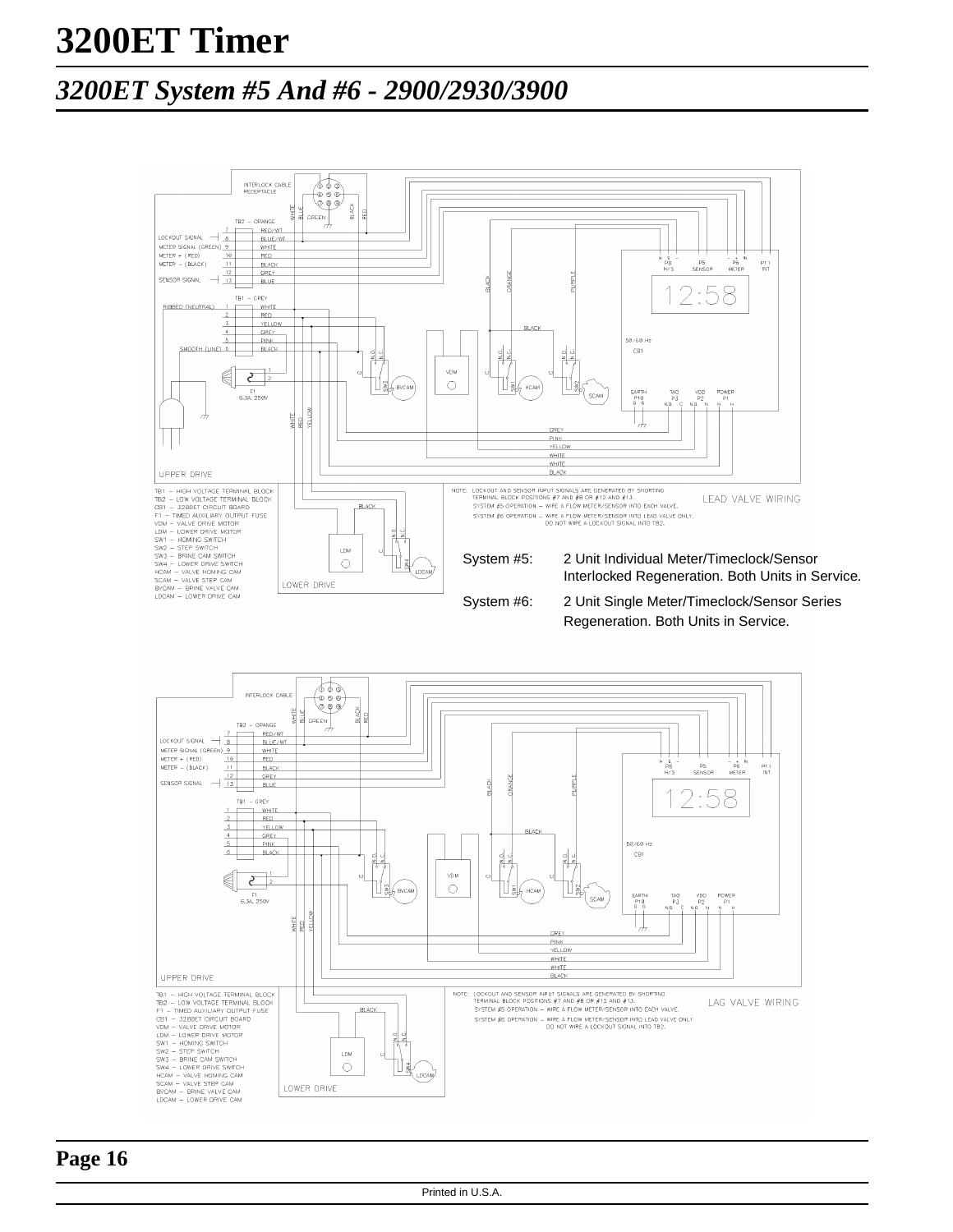### *3200ET System #5 And #6 - 2900/2930/3900*

![](_page_15_Figure_2.jpeg)

![](_page_15_Figure_3.jpeg)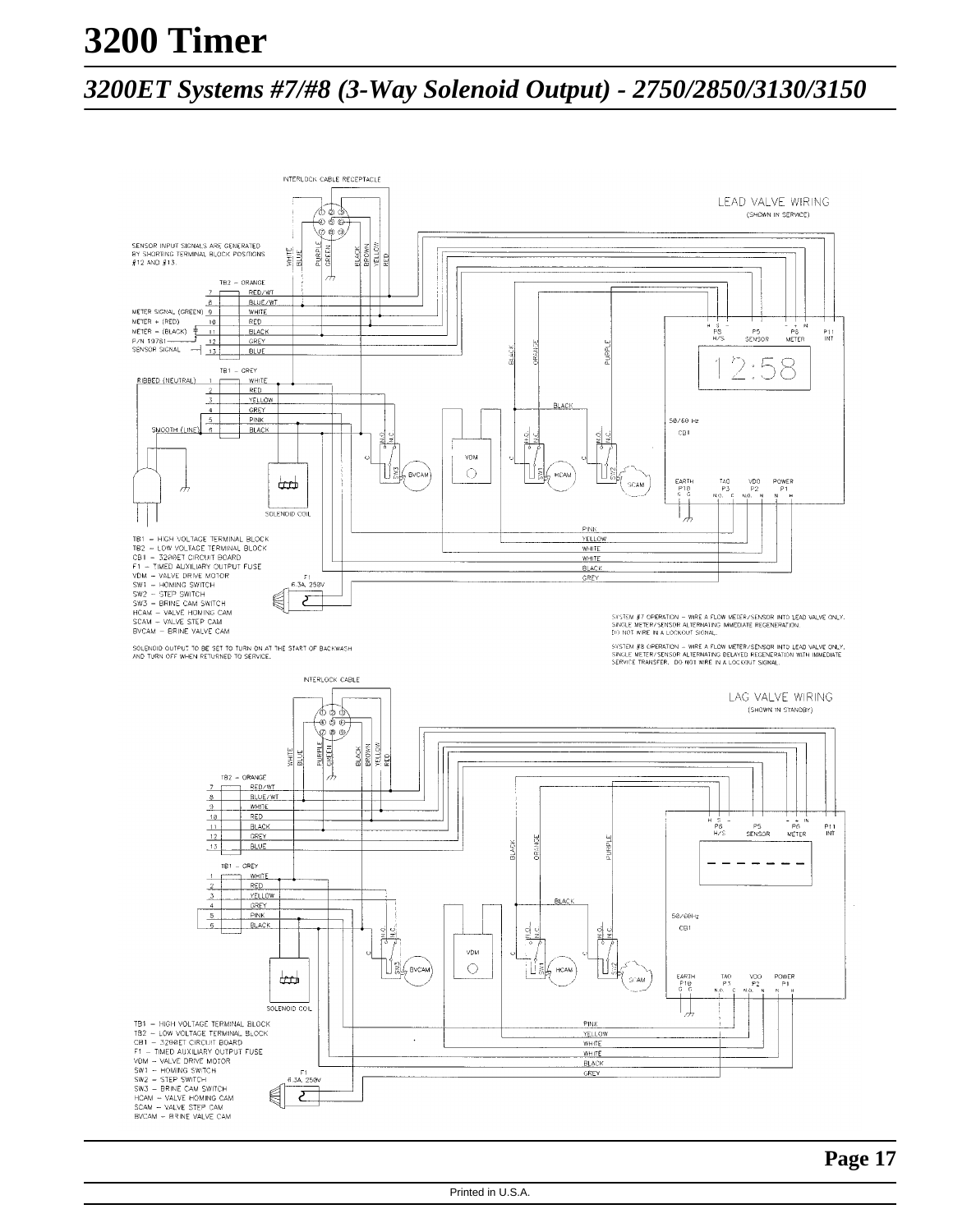# **3200 Timer**

### *3200ET Systems #7/#8 (3-Way Solenoid Output) - 2750/2850/3130/3150*

![](_page_16_Figure_2.jpeg)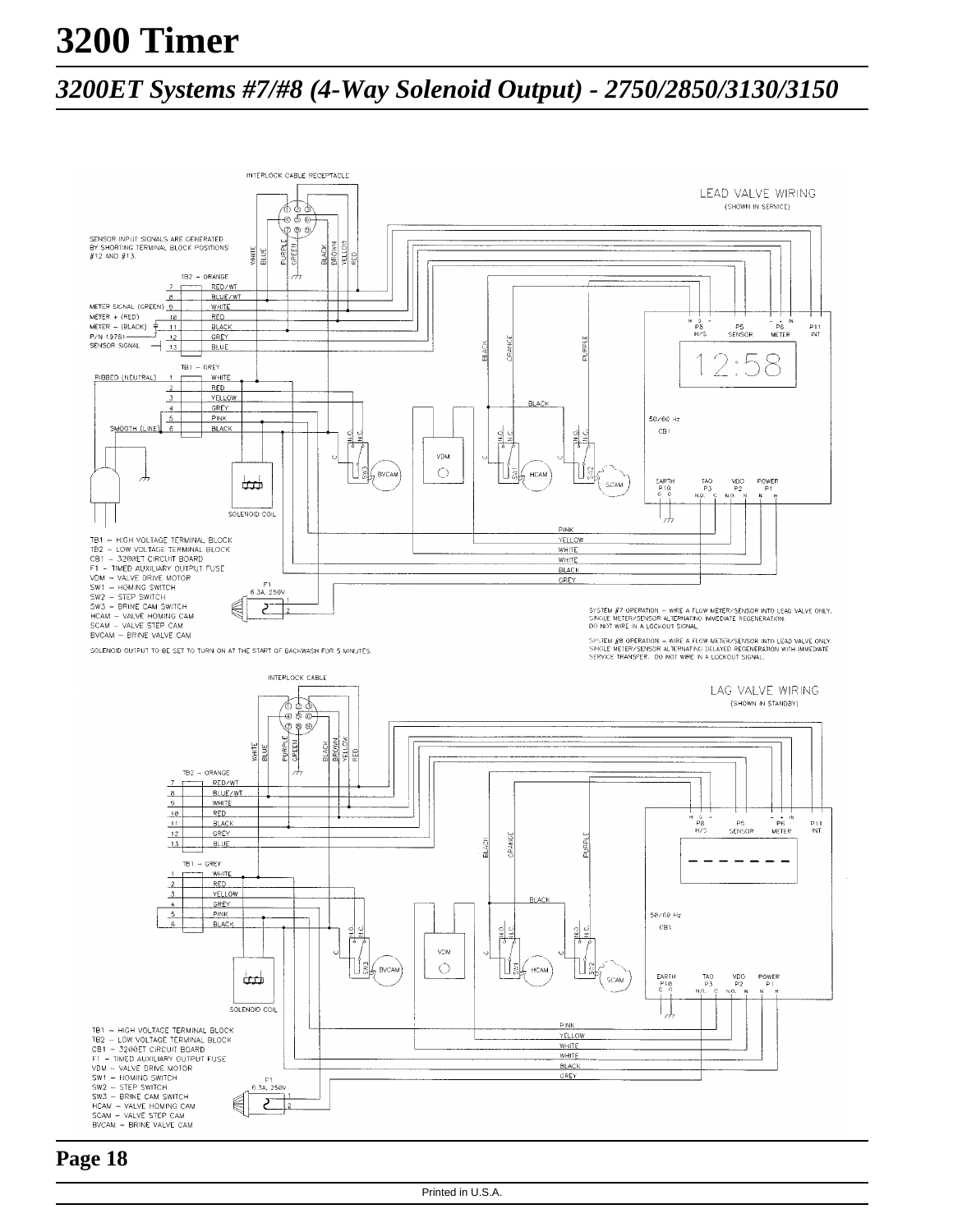# **3200 Timer**

### *3200ET Systems #7/#8 (4-Way Solenoid Output) - 2750/2850/3130/3150*

![](_page_17_Figure_2.jpeg)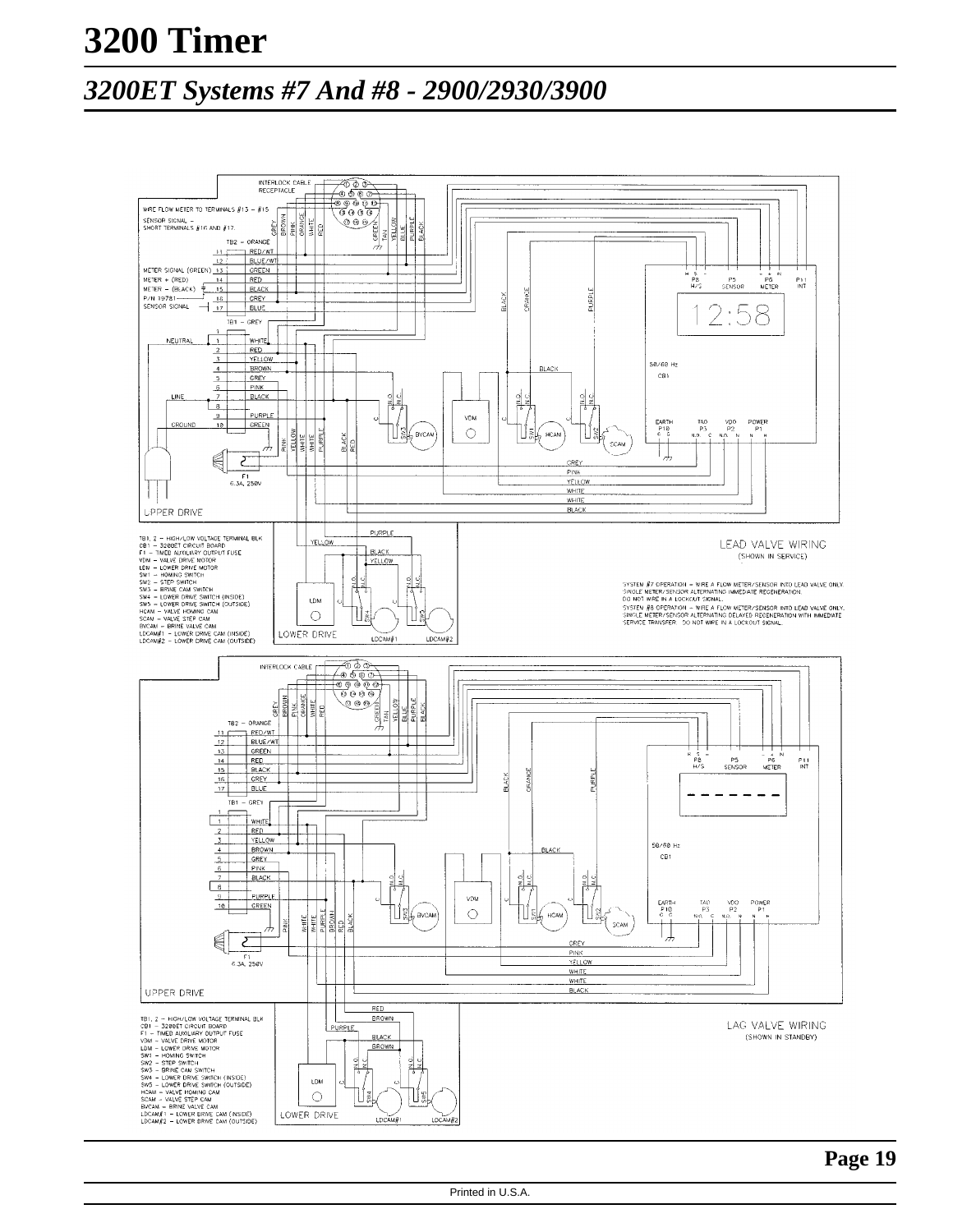# **3200 Timer**

### *3200ET Systems #7 And #8 - 2900/2930/3900*

![](_page_18_Figure_2.jpeg)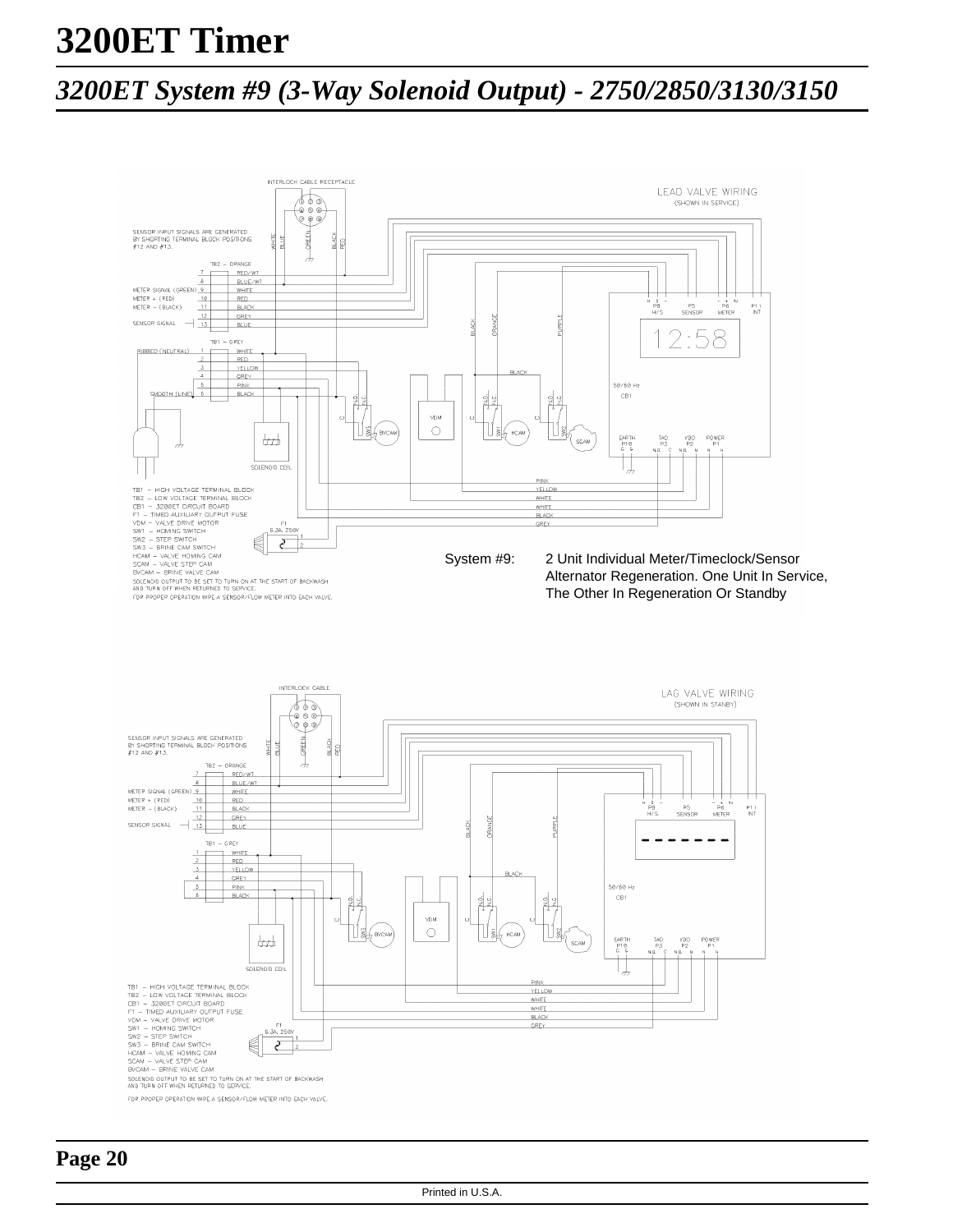## *3200ET System #9 (3-Way Solenoid Output) - 2750/2850/3130/3150*

![](_page_19_Figure_2.jpeg)

![](_page_19_Figure_3.jpeg)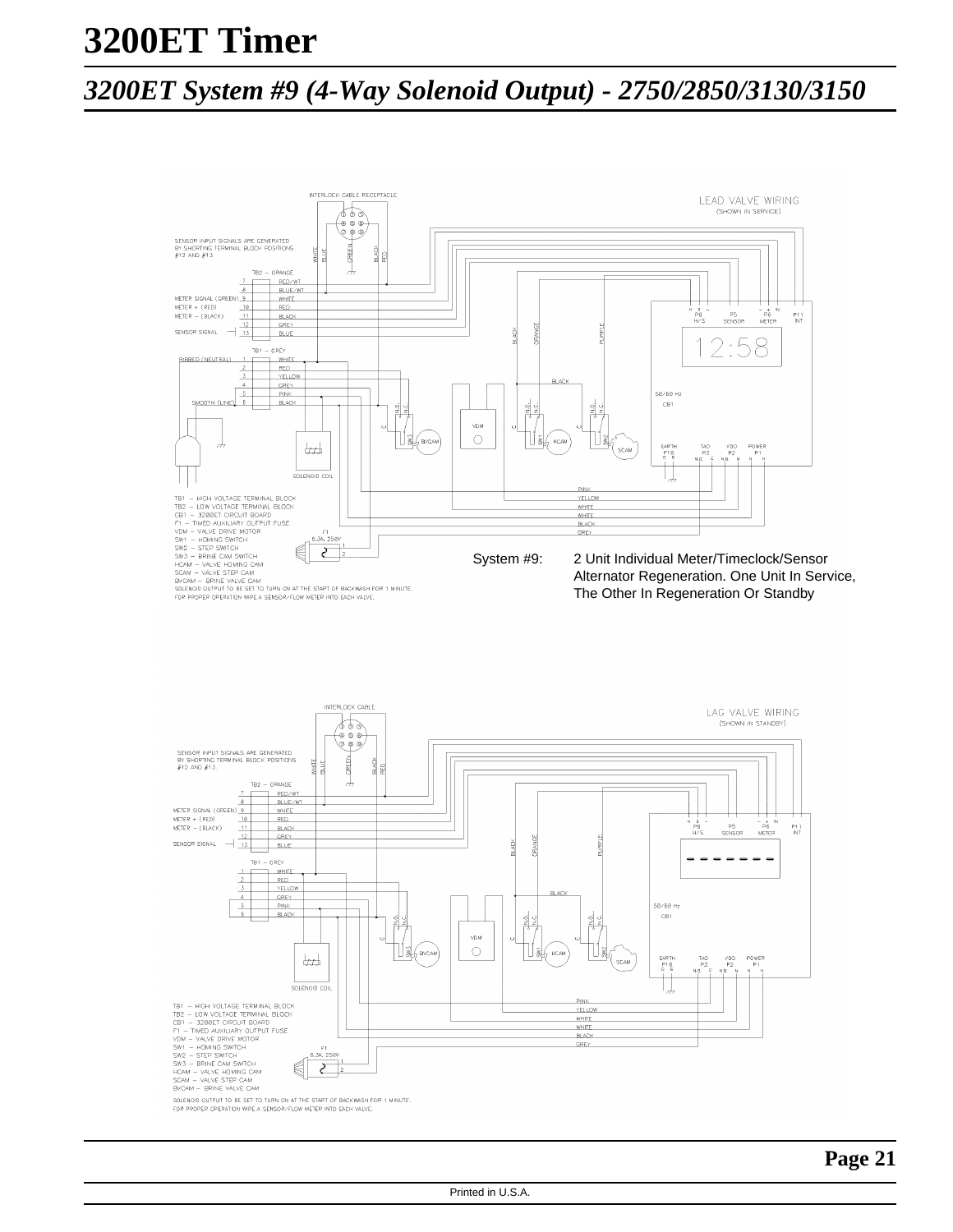## *3200ET System #9 (4-Way Solenoid Output) - 2750/2850/3130/3150*

![](_page_20_Figure_2.jpeg)

![](_page_20_Figure_3.jpeg)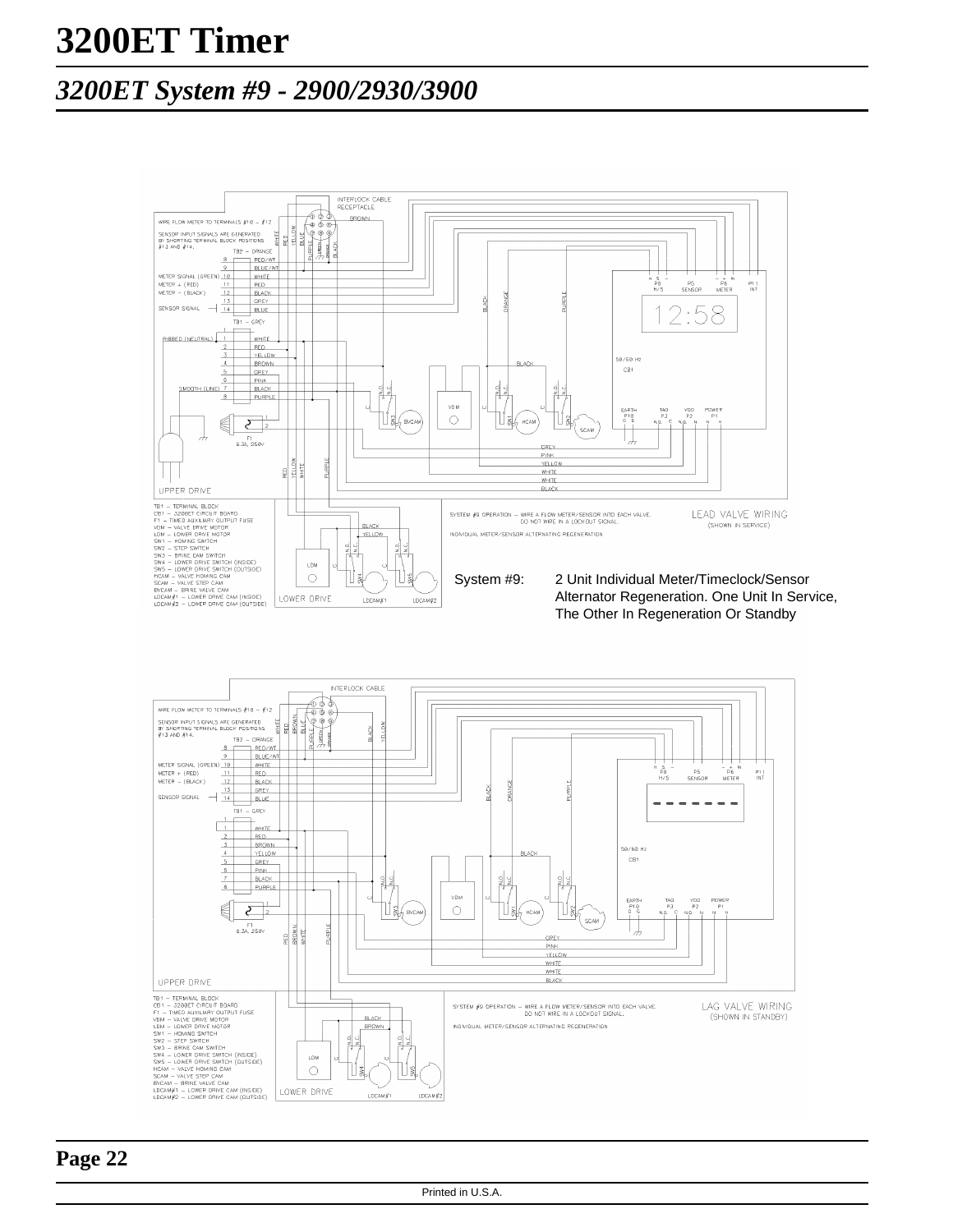### *3200ET System #9 - 2900/2930/3900*

![](_page_21_Figure_2.jpeg)

![](_page_21_Figure_3.jpeg)